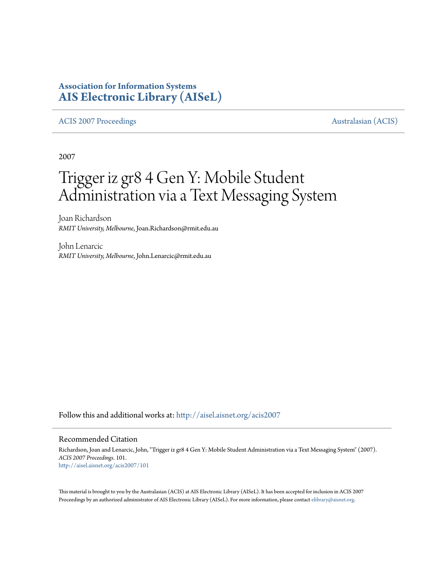# **Association for Information Systems [AIS Electronic Library \(AISeL\)](http://aisel.aisnet.org?utm_source=aisel.aisnet.org%2Facis2007%2F101&utm_medium=PDF&utm_campaign=PDFCoverPages)**

#### [ACIS 2007 Proceedings](http://aisel.aisnet.org/acis2007?utm_source=aisel.aisnet.org%2Facis2007%2F101&utm_medium=PDF&utm_campaign=PDFCoverPages) **Australasian** (ACIS)

2007

# Trigger iz gr8 4 Gen Y: Mobile Student Administration via a Text Messaging System

Joan Richardson *RMIT University, Melbourne*, Joan.Richardson@rmit.edu.au

John Lenarcic *RMIT University, Melbourne*, John.Lenarcic@rmit.edu.au

Follow this and additional works at: [http://aisel.aisnet.org/acis2007](http://aisel.aisnet.org/acis2007?utm_source=aisel.aisnet.org%2Facis2007%2F101&utm_medium=PDF&utm_campaign=PDFCoverPages)

#### Recommended Citation

Richardson, Joan and Lenarcic, John, "Trigger iz gr8 4 Gen Y: Mobile Student Administration via a Text Messaging System" (2007). *ACIS 2007 Proceedings*. 101. [http://aisel.aisnet.org/acis2007/101](http://aisel.aisnet.org/acis2007/101?utm_source=aisel.aisnet.org%2Facis2007%2F101&utm_medium=PDF&utm_campaign=PDFCoverPages)

This material is brought to you by the Australasian (ACIS) at AIS Electronic Library (AISeL). It has been accepted for inclusion in ACIS 2007 Proceedings by an authorized administrator of AIS Electronic Library (AISeL). For more information, please contact [elibrary@aisnet.org](mailto:elibrary@aisnet.org%3E).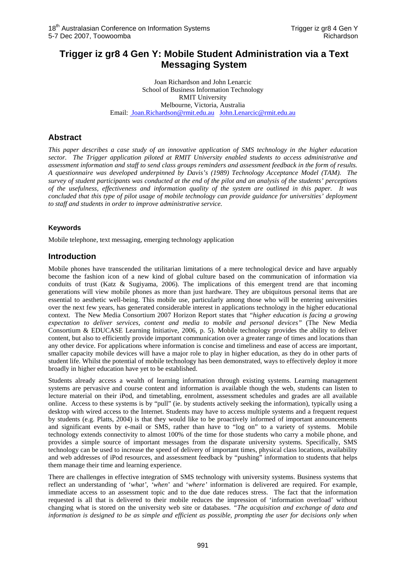## **Trigger iz gr8 4 Gen Y: Mobile Student Administration via a Text Messaging System**

Joan Richardson and John Lenarcic School of Business Information Technology RMIT University Melbourne, Victoria, Australia Email: Joan.Richardson@rmit.edu.au John.Lenarcic@rmit.edu.au

### **Abstract**

*This paper describes a case study of an innovative application of SMS technology in the higher education sector. The Trigger application piloted at RMIT University enabled students to access administrative and assessment information and staff to send class groups reminders and assessment feedback in the form of results. A questionnaire was developed underpinned by Davis's (1989) Technology Acceptance Model (TAM). The survey of student participants was conducted at the end of the pilot and an analysis of the students' perceptions of the usefulness, effectiveness and information quality of the system are outlined in this paper. It was concluded that this type of pilot usage of mobile technology can provide guidance for universities' deployment to staff and students in order to improve administrative service.* 

#### **Keywords**

Mobile telephone, text messaging, emerging technology application

#### **Introduction**

Mobile phones have transcended the utilitarian limitations of a mere technological device and have arguably become the fashion icon of a new kind of global culture based on the communication of information via conduits of trust (Katz & Sugiyama, 2006). The implications of this emergent trend are that incoming generations will view mobile phones as more than just hardware. They are ubiquitous personal items that are essential to aesthetic well-being. This mobile use, particularly among those who will be entering universities over the next few years, has generated considerable interest in applications technology in the higher educational context. The New Media Consortium 2007 Horizon Report states that *"higher education is facing a growing expectation to deliver services, content and media to mobile and personal devices"* (The New Media Consortium & EDUCASE Learning Initiative, 2006, p. 5). Mobile technology provides the ability to deliver content, but also to efficiently provide important communication over a greater range of times and locations than any other device. For applications where information is concise and timeliness and ease of access are important, smaller capacity mobile devices will have a major role to play in higher education, as they do in other parts of student life. Whilst the potential of mobile technology has been demonstrated, ways to effectively deploy it more broadly in higher education have yet to be established.

Students already access a wealth of learning information through existing systems. Learning management systems are pervasive and course content and information is available though the web, students can listen to lecture material on their iPod, and timetabling, enrolment, assessment schedules and grades are all available online. Access to these systems is by "pull" (ie. by students actively seeking the information), typically using a desktop with wired access to the Internet. Students may have to access multiple systems and a frequent request by students (e.g. Platts, 2004) is that they would like to be proactively informed of important announcements and significant events by e-mail or SMS, rather than have to "log on" to a variety of systems. Mobile technology extends connectivity to almost 100% of the time for those students who carry a mobile phone, and provides a simple source of important messages from the disparate university systems. Specifically, SMS technology can be used to increase the speed of delivery of important times, physical class locations, availability and web addresses of iPod resources, and assessment feedback by "pushing" information to students that helps them manage their time and learning experience.

There are challenges in effective integration of SMS technology with university systems. Business systems that reflect an understanding of '*what', 'when*' and '*where'* information is delivered are required. For example, immediate access to an assessment topic and to the due date reduces stress. The fact that the information requested is all that is delivered to their mobile reduces the impression of 'information overload' without changing what is stored on the university web site or databases. *"The acquisition and exchange of data and information is designed to be as simple and efficient as possible, prompting the user for decisions only when*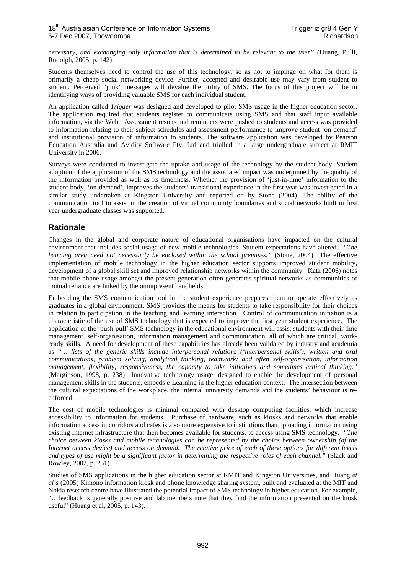*necessary, and exchanging only information that is determined to be relevant to the user"* (Huang, Pulli, Rudolph, 2005, p. 142).

Students themselves need to control the use of this technology, so as not to impinge on what for them is primarily a cheap social networking device. Further, accepted and desirable use may vary from student to student. Perceived "junk" messages will devalue the utility of SMS. The focus of this project will be in identifying ways of providing valuable SMS for each individual student.

An application called *Trigger* was designed and developed to pilot SMS usage in the higher education sector. The application required that students register to communicate using SMS and that staff input available information, via the Web. Assessment results and reminders were pushed to students and access was provided to information relating to their subject schedules and assessment performance to improve student 'on-demand' and institutional provision of information to students. The software application was developed by Pearson Education Australia and Avidity Software Pty. Ltd and trialled in a large undergraduate subject at RMIT University in 2006.

Surveys were conducted to investigate the uptake and usage of the technology by the student body. Student adoption of the application of the SMS technology and the associated impact was underpinned by the quality of the information provided as well as its timeliness. Whether the provision of 'just-in-time' information to the student body, 'on-demand', improves the students' transitional experience in the first year was investigated in a similar study undertaken at Kingston University and reported on by Stone (2004). The ability of the communication tool to assist in the creation of virtual community boundaries and social networks built in first year undergraduate classes was supported.

### **Rationale**

Changes in the global and corporate nature of educational organisations have impacted on the cultural environment that includes social usage of new mobile technologies. Student expectations have altered. *"The learning area need not necessarily be enclosed within the school premises."* (Stone, 2004) The effective implementation of mobile technology in the higher education sector supports improved student mobility, development of a global skill set and improved relationship networks within the community. Katz (2006) notes that mobile phone usage amongst the present generation often generates spiritual networks as communities of mutual reliance are linked by the omnipresent handhelds.

Embedding the SMS communication tool in the student experience prepares them to operate effectively as graduates in a global environment. SMS provides the means for students to take responsibility for their choices in relation to participation in the teaching and learning interaction. Control of communication initiation is a characteristic of the use of SMS technology that is expected to improve the first year student experience. The application of the 'push-pull' SMS technology in the educational environment will assist students with their time management, self-organisation, information management and communication, all of which are critical, workready skills. A need for development of these capabilities has already been validated by industry and academia as *"… lists of the generic skills include interpersonal relations ('interpersonal skills'), written and oral communications, problem solving, analytical thinking, teamwork; and often self-organisation, information management, flexibility, responsiveness, the capacity to take initiatives and sometimes critical thinking."*  (Marginson, 1998, p. 238) Innovative technology usage, designed to enable the development of personal management skills in the students, embeds e-Learning in the higher education context. The intersection between the cultural expectations of the workplace, the internal university demands and the students' behaviour is reenforced.

The cost of mobile technologies is minimal compared with desktop computing facilities, which increase accessibility to information for students. Purchase of hardware, such as kiosks and networks that enable information access in corridors and cafes is also more expensive to institutions than uploading information using existing Internet infrastructure that then becomes available for students, to access using SMS technology. *"The choice between kiosks and mobile technologies can be represented by the choice between ownership (of the Internet access device) and access on demand. The relative price of each of these options for different levels and types of use might be a significant factor in determining the respective roles of each channel."* (Slack and Rowley, 2002, p. 251)

Studies of SMS applications in the higher education sector at RMIT and Kingston Universities, and Huang *et al's* (2005) Kimono information kiosk and phone knowledge sharing system, built and evaluated at the MIT and Nokia research centre have illustrated the potential impact of SMS technology in higher education. For example, "…feedback is generally positive and lab members note that they find the information presented on the kiosk useful" (Huang et al, 2005, p. 143).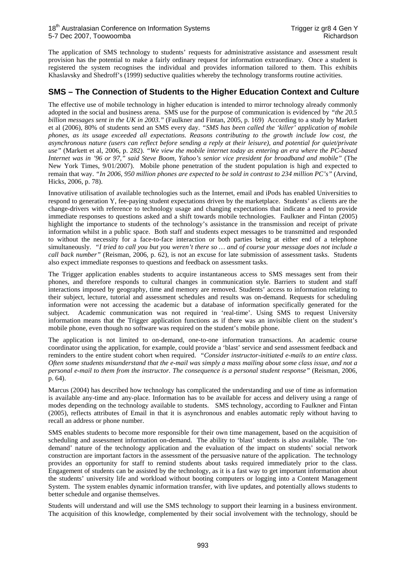The application of SMS technology to students' requests for administrative assistance and assessment result provision has the potential to make a fairly ordinary request for information extraordinary. Once a student is registered the system recognises the individual and provides information tailored to them. This exhibits Khaslavsky and Shedroff's (1999) seductive qualities whereby the technology transforms routine activities.

#### **SMS – The Connection of Students to the Higher Education Context and Culture**

The effective use of mobile technology in higher education is intended to mirror technology already commonly adopted in the social and business arena. SMS use for the purpose of communication is evidenced by *"the 20.5 billion messages sent in the UK in 2003."* (Faulkner and Fintan, 2005, p. 169) According to a study by Markett et al (2006), 80% of students send an SMS every day. *"SMS has been called the 'killer' application of mobile phones, as its usage exceeded all expectations. Reasons contributing to the growth include low cost, the asynchronous nature (users can reflect before sending a reply at their leisure), and potential for quiet/private use"* (Markett et al, 2006, p. 282). *"We view the mobile internet today as entering an era where the PC-based Internet was in '96 or 97," said Steve Boom, Yahoo's senior vice president for broadband and mobile"* (The New York Times, 9/01/2007). Mobile phone penetration of the student population is high and expected to remain that way. *"In 2006, 950 million phones are expected to be sold in contrast to 234 million PC's"* (Arvind, Hicks, 2006, p. 78).

Innovative utilisation of available technologies such as the Internet, email and iPods has enabled Universities to respond to generation Y, fee-paying student expectations driven by the marketplace. Students' as clients are the change-drivers with reference to technology usage and changing expectations that indicate a need to provide immediate responses to questions asked and a shift towards mobile technologies. Faulkner and Fintan (2005) highlight the importance to students of the technology's assistance in the transmission and receipt of private information whilst in a public space. Both staff and students expect messages to be transmitted and responded to without the necessity for a face-to-face interaction or both parties being at either end of a telephone simultaneously. *"I tried to call you but you weren't there so … and of course your message does not include a call back number"* (Reisman, 2006, p. 62), is not an excuse for late submission of assessment tasks. Students also expect immediate responses to questions and feedback on assessment tasks.

The Trigger application enables students to acquire instantaneous access to SMS messages sent from their phones, and therefore responds to cultural changes in communication style. Barriers to student and staff interactions imposed by geography, time and memory are removed. Students' access to information relating to their subject, lecture, tutorial and assessment schedules and results was on-demand. Requests for scheduling information were not accessing the academic but a database of information specifically generated for the subject. Academic communication was not required in 'real-time'. Using SMS to request University information means that the Trigger application functions as if there was an invisible client on the student's mobile phone, even though no software was required on the student's mobile phone.

The application is not limited to on-demand, one-to-one information transactions. An academic course coordinator using the application, for example, could provide a 'blast' service and send assessment feedback and reminders to the entire student cohort when required. *"Consider instructor-initiated e-mails to an entire class. Often some students misunderstand that the e-mail was simply a mass mailing about some class issue, and not a personal e-mail to them from the instructor. The consequence is a personal student response"* (Reisman, 2006, p. 64).

Marcus (2004) has described how technology has complicated the understanding and use of time as information is available any-time and any-place. Information has to be available for access and delivery using a range of modes depending on the technology available to students. SMS technology, according to Faulkner and Fintan (2005), reflects attributes of Email in that it is asynchronous and enables automatic reply without having to recall an address or phone number.

SMS enables students to become more responsible for their own time management, based on the acquisition of scheduling and assessment information on-demand. The ability to 'blast' students is also available. The 'ondemand' nature of the technology application and the evaluation of the impact on students' social network construction are important factors in the assessment of the persuasive nature of the application. The technology provides an opportunity for staff to remind students about tasks required immediately prior to the class. Engagement of students can be assisted by the technology, as it is a fast way to get important information about the students' university life and workload without booting computers or logging into a Content Management System. The system enables dynamic information transfer, with live updates, and potentially allows students to better schedule and organise themselves.

Students will understand and will use the SMS technology to support their learning in a business environment. The acquisition of this knowledge, complemented by their social involvement with the technology, should be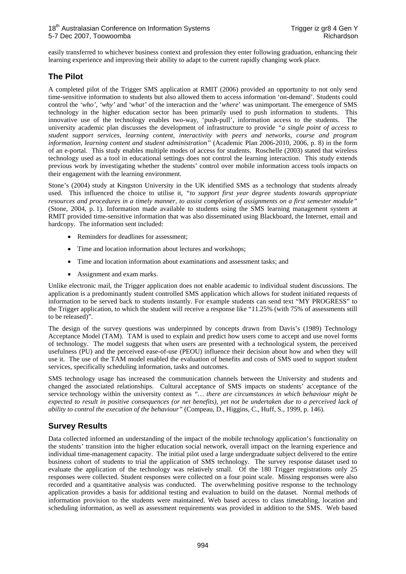easily transferred to whichever business context and profession they enter following graduation, enhancing their learning experience and improving their ability to adapt to the current rapidly changing work place.

#### **The Pilot**

A completed pilot of the Trigger SMS application at RMIT (2006) provided an opportunity to not only send time-sensitive information to students but also allowed them to access information 'on-demand'. Students could control the *'who', 'why'* and *'what'* of the interaction and the '*where*' was unimportant. The emergence of SMS technology in the higher education sector has been primarily used to push information to students. This innovative use of the technology enables two-way, 'push-pull', information access to the students. The university academic plan discusses the development of infrastructure to provide *"a single point of access to student support services, learning content, interactivity with peers and networks, course and program information, learning content and student administration"* (Academic Plan 2006-2010, 2006, p. 8) in the form of an e-portal. This study enables multiple modes of access for students. Roschelle (2003) stated that wireless technology used as a tool in educational settings does not control the learning interaction. This study extends previous work by investigating whether the students' control over mobile information access tools impacts on their engagement with the learning environment.

Stone's (2004) study at Kingston University in the UK identified SMS as a technology that students already used. This influenced the choice to utilise it, *"to support first year degree students towards appropriate resources and procedures in a timely manner, to assist completion of assignments on a first semester module"* (Stone, 2004, p. 1). Information made available to students using the SMS learning management system at RMIT provided time-sensitive information that was also disseminated using Blackboard, the Internet, email and hardcopy. The information sent included:

- Reminders for deadlines for assessment;
- Time and location information about lectures and workshops;
- Time and location information about examinations and assessment tasks; and
- Assignment and exam marks.

Unlike electronic mail, the Trigger application does not enable academic to individual student discussions. The application is a predominantly student controlled SMS application which allows for student initiated requests of information to be served back to students instantly. For example students can send text "MY PROGRESS" to the Trigger application, to which the student will receive a response like "11.25% (with 75% of assessments still to be released)".

The design of the survey questions was underpinned by concepts drawn from Davis's (1989) Technology Acceptance Model (TAM). TAM is used to explain and predict how users come to accept and use novel forms of technology. The model suggests that when users are presented with a technological system, the perceived usefulness (PU) and the perceived ease-of-use (PEOU) influence their decision about how and when they will use it. The use of the TAM model enabled the evaluation of benefits and costs of SMS used to support student services, specifically scheduling information, tasks and outcomes.

SMS technology usage has increased the communication channels between the University and students and changed the associated relationships. Cultural acceptance of SMS impacts on students' acceptance of the service technology within the university context as *"… there are circumstances in which behaviour might be expected to result in positive consequences (or net benefits), yet not be undertaken due to a perceived lack of ability to control the execution of the behaviour"* (Compeau, D., Higgins, C., Huff, S.*,* 1999, p. 146).

## **Survey Results**

Data collected informed an understanding of the impact of the mobile technology application's functionality on the students' transition into the higher education social network, overall impact on the learning experience and individual time-management capacity. The initial pilot used a large undergraduate subject delivered to the entire business cohort of students to trial the application of SMS technology. The survey response dataset used to evaluate the application of the technology was relatively small. Of the 180 Trigger registrations only 25 responses were collected. Student responses were collected on a four point scale. Missing responses were also recorded and a quantitative analysis was conducted. The overwhelming positive response to the technology application provides a basis for additional testing and evaluation to build on the dataset. Normal methods of information provision to the students were maintained. Web based access to class timetabling, location and scheduling information, as well as assessment requirements was provided in addition to the SMS. Web based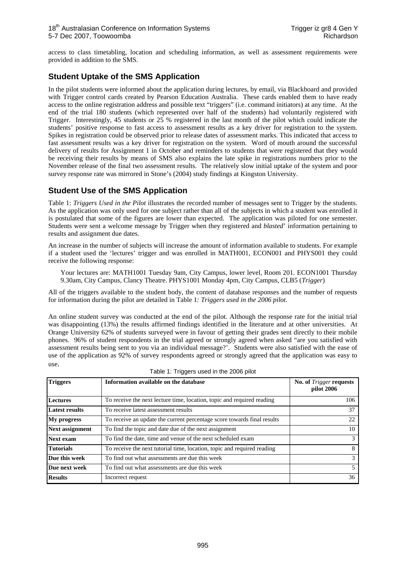access to class timetabling, location and scheduling information, as well as assessment requirements were provided in addition to the SMS.

#### **Student Uptake of the SMS Application**

In the pilot students were informed about the application during lectures, by email, via Blackboard and provided with Trigger control cards created by Pearson Education Australia. These cards enabled them to have ready access to the online registration address and possible text "triggers" (i.e. command initiators) at any time. At the end of the trial 180 students (which represented over half of the students) had voluntarily registered with Trigger. Interestingly, 45 students or 25 % registered in the last month of the pilot which could indicate the students' positive response to fast access to assessment results as a key driver for registration to the system. Spikes in registration could be observed prior to release dates of assessment marks. This indicated that access to fast assessment results was a key driver for registration on the system. Word of mouth around the successful delivery of results for Assignment 1 in October and reminders to students that were registered that they would be receiving their results by means of SMS also explains the late spike in registrations numbers prior to the November release of the final two assessment results. The relatively slow initial uptake of the system and poor survey response rate was mirrored in Stone's (2004) study findings at Kingston University.

#### **Student Use of the SMS Application**

Table 1: *Triggers Used in the Pilot* illustrates the recorded number of messages sent to Trigger by the students. As the application was only used for one subject rather than all of the subjects in which a student was enrolled it is postulated that some of the figures are lower than expected. The application was piloted for one semester. Students were sent a welcome message by Trigger when they registered and *blasted*' information pertaining to results and assignment due dates.

An increase in the number of subjects will increase the amount of information available to students. For example if a student used the 'lectures' trigger and was enrolled in MATH001, ECON001 and PHYS001 they could receive the following response:

Your lectures are: MATH1001 Tuesday 9am, City Campus, lower level, Room 201. ECON1001 Thursday 9.30am, City Campus, Clancy Theatre. PHYS1001 Monday 4pm, City Campus, CLB5 (*Trigger*)

All of the triggers available to the student body, the content of database responses and the number of requests for information during the pilot are detailed in Table 1*: Triggers used in the 2006 pilot*.

An online student survey was conducted at the end of the pilot. Although the response rate for the initial trial was disappointing (13%) the results affirmed findings identified in the literature and at other universities. At Orange University 62% of students surveyed were in favour of getting their grades sent directly to their mobile phones. 96% of student respondents in the trial agreed or strongly agreed when asked "are you satisfied with assessment results being sent to you via an individual message?'. Students were also satisfied with the ease of use of the application as 92% of survey respondents agreed or strongly agreed that the application was easy to use.

| <b>Triggers</b><br>Information available on the database |                                                                         | No. of Trigger requests<br>pilot 2006 |  |
|----------------------------------------------------------|-------------------------------------------------------------------------|---------------------------------------|--|
| <b>Lectures</b>                                          | To receive the next lecture time, location, topic and required reading  | 106                                   |  |
| <b>Latest results</b>                                    | To receive latest assessment results                                    | 37                                    |  |
| <b>My progress</b>                                       | To receive an update the current percentage score towards final results | 22                                    |  |
| <b>Next assignment</b>                                   | To find the topic and date due of the next assignment                   | 10                                    |  |
| Next exam                                                | To find the date, time and venue of the next scheduled exam             | 3                                     |  |
| <b>Tutorials</b>                                         | To receive the next tutorial time, location, topic and required reading | 8                                     |  |
| Due this week                                            | To find out what assessments are due this week                          | 3                                     |  |
| Due next week                                            | To find out what assessments are due this week                          | 5                                     |  |
| <b>Results</b>                                           | Incorrect request                                                       | 36                                    |  |

| Table 1: Triggers used in the 2006 pilot |  |  |
|------------------------------------------|--|--|
|------------------------------------------|--|--|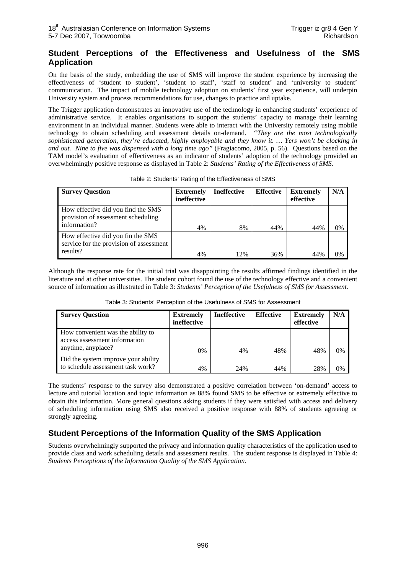#### **Student Perceptions of the Effectiveness and Usefulness of the SMS Application**

On the basis of the study, embedding the use of SMS will improve the student experience by increasing the effectiveness of 'student to student', 'student to staff', 'staff to student' and 'university to student' communication. The impact of mobile technology adoption on students' first year experience, will underpin University system and process recommendations for use, changes to practice and uptake.

The Trigger application demonstrates an innovative use of the technology in enhancing students' experience of administrative service. It enables organisations to support the students' capacity to manage their learning environment in an individual manner. Students were able to interact with the University remotely using mobile technology to obtain scheduling and assessment details on-demand. *"They are the most technologically sophisticated generation, they're educated, highly employable and they know it. … Yers won't be clocking in and out. Nine to five was dispensed with a long time ago"* (Fragiacomo, 2005, p. 56). Questions based on the TAM model's evaluation of effectiveness as an indicator of students' adoption of the technology provided an overwhelmingly positive response as displayed in Table 2: *Students' Rating of the Effectiveness of SMS.* 

| <b>Survey Question</b>                                                                   | <b>Extremely</b><br>ineffective | <b>Ineffective</b> | <b>Effective</b> | <b>Extremely</b><br>effective | N/A |
|------------------------------------------------------------------------------------------|---------------------------------|--------------------|------------------|-------------------------------|-----|
| How effective did you find the SMS<br>provision of assessment scheduling<br>information? | 4%                              | 8%                 | 44%              | 44%                           | 0%  |
| How effective did you fin the SMS<br>service for the provision of assessment<br>results? | 4%                              | 12%                | 36%              | 44%                           | በ%  |

Table 2: Students' Rating of the Effectiveness of SMS

Although the response rate for the initial trial was disappointing the results affirmed findings identified in the literature and at other universities. The student cohort found the use of the technology effective and a convenient source of information as illustrated in Table 3: *Students' Perception of the Usefulness of SMS for Assessment*.

| <b>Survey Question</b>                                                                    | <b>Extremely</b><br>ineffective | <b>Ineffective</b> | <b>Effective</b> | <b>Extremely</b><br>effective | N/A |
|-------------------------------------------------------------------------------------------|---------------------------------|--------------------|------------------|-------------------------------|-----|
| How convenient was the ability to<br>access assessment information<br>anytime, any place? | 0%                              | 4%                 | 48%              | 48%                           | 0%  |
| Did the system improve your ability<br>to schedule assessment task work?                  | 4%                              | 24%                | 44%              | 28%                           | 0%  |

Table 3: Students' Perception of the Usefulness of SMS for Assessment

The students' response to the survey also demonstrated a positive correlation between 'on-demand' access to lecture and tutorial location and topic information as 88% found SMS to be effective or extremely effective to obtain this information. More general questions asking students if they were satisfied with access and delivery of scheduling information using SMS also received a positive response with 88% of students agreeing or strongly agreeing.

# **Student Perceptions of the Information Quality of the SMS Application**

Students overwhelmingly supported the privacy and information quality characteristics of the application used to provide class and work scheduling details and assessment results. The student response is displayed in Table 4: *Students Perceptions of the Information Quality of the SMS Application*.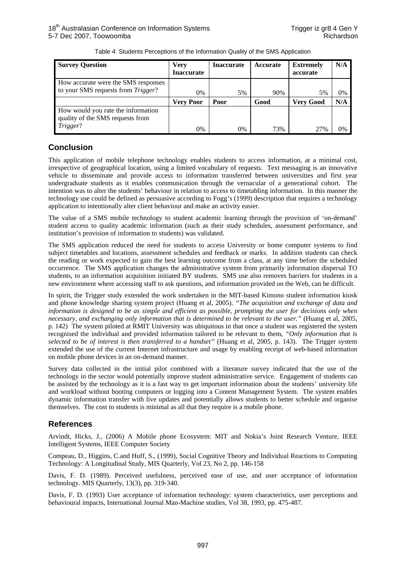| <b>Survey Question</b>                                                    | Verv<br><b>Inaccurate</b> | <b>Inaccurate</b> | Accurate | <b>Extremely</b><br>accurate | N/A |
|---------------------------------------------------------------------------|---------------------------|-------------------|----------|------------------------------|-----|
| How accurate were the SMS responses<br>to your SMS requests from Trigger? | 0%                        | 5%                | 90%      | 5%                           | 0%  |
|                                                                           | Verv Poor                 | Poor              | Good     | <b>Very Good</b>             | N/A |
| How would you rate the information<br>quality of the SMS requests from    |                           |                   |          |                              |     |
| Trigger?                                                                  | 0%                        | 0%                | 73%      | 2.7%                         | 0%  |

Table 4: Students Perceptions of the Information Quality of the SMS Application

### **Conclusion**

This application of mobile telephone technology enables students to access information, at a minimal cost, irrespective of geographical location, using a limited vocabulary of requests. Text messaging is an innovative vehicle to disseminate and provide access to information transferred between universities and first year undergraduate students as it enables communication through the vernacular of a generational cohort. The intention was to alter the students' behaviour in relation to access to timetabling information. In this manner the technology use could be defined as persuasive according to Fogg's (1999) description that requires a technology application to intentionally alter client behaviour and make an activity easier.

The value of a SMS mobile technology to student academic learning through the provision of 'on-demand' student access to quality academic information (such as their study schedules, assessment performance, and institution's provision of information to students) was validated.

The SMS application reduced the need for students to access University or home computer systems to find subject timetables and locations, assessment schedules and feedback or marks. In addition students can check the reading or work expected to gain the best learning outcome from a class, at any time before the scheduled occurrence. The SMS application changes the administrative system from primarily information dispersal TO students, to an information acquisition initiated BY students. SMS use also removes barriers for students in a new environment where accessing staff to ask questions, and information provided on the Web, can be difficult.

In spirit, the Trigger study extended the work undertaken in the MIT-based Kimono student information kiosk and phone knowledge sharing system project (Huang et al, 2005). *"The acquisition and exchange of data and information is designed to be as simple and efficient as possible, prompting the user for decisions only when necessary, and exchanging only information that is determined to be relevant to the user."* (Huang et al, 2005, p. 142) The system piloted at RMIT University was ubiquitous in that once a student was registered the system recognised the individual and provided information tailored to be relevant to them, *"Only information that is selected to be of interest is then transferred to a handset"* (Huang et al, 2005, p. 143). The Trigger system extended the use of the current Internet infrastructure and usage by enabling receipt of web-based information on mobile phone devices in an on-demand manner.

Survey data collected in the initial pilot combined with a literature survey indicated that the use of the technology in the sector would potentially improve student administrative service. Engagement of students can be assisted by the technology as it is a fast way to get important information about the students' university life and workload without booting computers or logging into a Content Management System. The system enables dynamic information transfer with live updates and potentially allows students to better schedule and organise themselves. The cost to students is minimal as all that they require is a mobile phone.

## **References**

Arvindt, Hicks, J., (2006) A Mobile phone Ecosystem: MIT and Nokia's Joint Research Venture, IEEE Intelligent Systems, IEEE Computer Society

Compeau, D., Higgins, C.and Huff, S., (1999), Social Cognitive Theory and Individual Reactions to Computing Technology: A Longitudinal Study, MIS Quarterly, Vol 23, No 2, pp. 146-158

Davis, F. D. (1989). Perceived usefulness, perceived ease of use, and user acceptance of information technology. MIS Quarterly, 13(3), pp. 319-340.

Davis, F. D. (1993) User acceptance of information technology: system characteristics, user perceptions and behavioural impacts, International Journal Man-Machine studies, Vol 38, 1993, pp. 475-487.